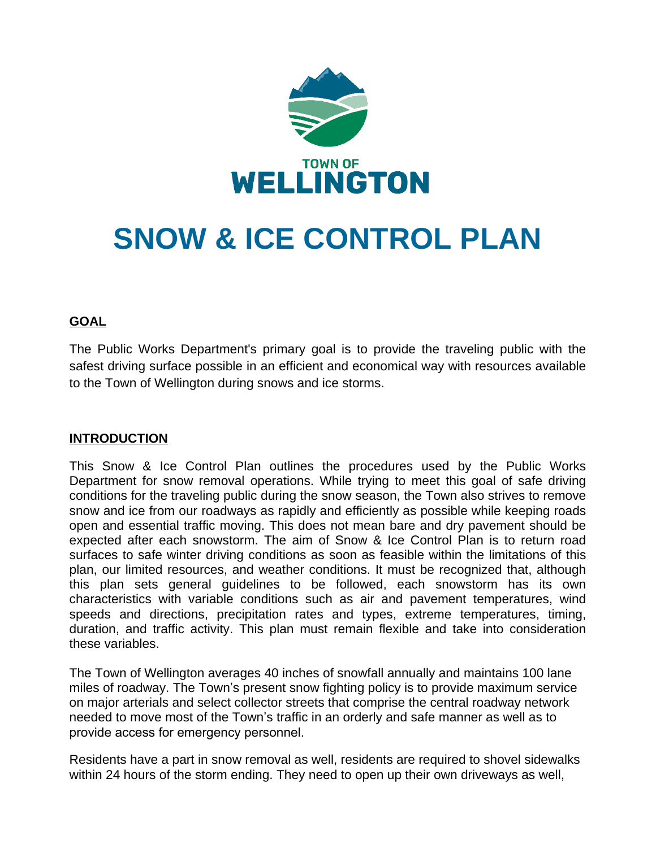

# **SNOW & ICE CONTROL PLAN**

## **GOAL**

The Public Works Department's primary goal is to provide the traveling public with the safest driving surface possible in an efficient and economical way with resources available to the Town of Wellington during snows and ice storms.

## **INTRODUCTION**

This Snow & Ice Control Plan outlines the procedures used by the Public Works Department for snow removal operations. While trying to meet this goal of safe driving conditions for the traveling public during the snow season, the Town also strives to remove snow and ice from our roadways as rapidly and efficiently as possible while keeping roads open and essential traffic moving. This does not mean bare and dry pavement should be expected after each snowstorm. The aim of Snow & Ice Control Plan is to return road surfaces to safe winter driving conditions as soon as feasible within the limitations of this plan, our limited resources, and weather conditions. It must be recognized that, although this plan sets general guidelines to be followed, each snowstorm has its own characteristics with variable conditions such as air and pavement temperatures, wind speeds and directions, precipitation rates and types, extreme temperatures, timing, duration, and traffic activity. This plan must remain flexible and take into consideration these variables.

The Town of Wellington averages 40 inches of snowfall annually and maintains 100 lane miles of roadway. The Town's present snow fighting policy is to provide maximum service on major arterials and select collector streets that comprise the central roadway network needed to move most of the Town's traffic in an orderly and safe manner as well as to provide access for emergency personnel.

Residents have a part in snow removal as well, residents are required to shovel sidewalks within 24 hours of the storm ending. They need to open up their own driveways as well,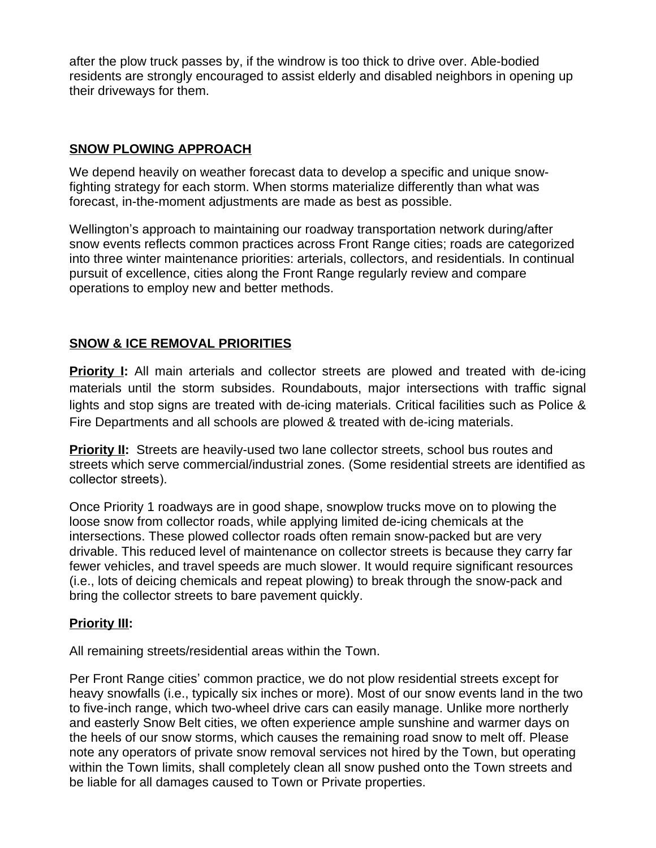after the plow truck passes by, if the windrow is too thick to drive over. Able-bodied residents are strongly encouraged to assist elderly and disabled neighbors in opening up their driveways for them.

## **SNOW PLOWING APPROACH**

We depend heavily on weather forecast data to develop a specific and unique snowfighting strategy for each storm. When storms materialize differently than what was forecast, in-the-moment adjustments are made as best as possible.

Wellington's approach to maintaining our roadway transportation network during/after snow events reflects common practices across Front Range cities; roads are categorized into three winter maintenance priorities: arterials, collectors, and residentials. In continual pursuit of excellence, cities along the Front Range regularly review and compare operations to employ new and better methods.

## **SNOW & ICE REMOVAL PRIORITIES**

**Priority I:** All main arterials and collector streets are plowed and treated with de-icing materials until the storm subsides. Roundabouts, major intersections with traffic signal lights and stop signs are treated with de-icing materials. Critical facilities such as Police & Fire Departments and all schools are plowed & treated with de-icing materials.

**Priority II:** Streets are heavily-used two lane collector streets, school bus routes and streets which serve commercial/industrial zones. (Some residential streets are identified as collector streets).

Once Priority 1 roadways are in good shape, snowplow trucks move on to plowing the loose snow from collector roads, while applying limited de-icing chemicals at the intersections. These plowed collector roads often remain snow-packed but are very drivable. This reduced level of maintenance on collector streets is because they carry far fewer vehicles, and travel speeds are much slower. It would require significant resources (i.e., lots of deicing chemicals and repeat plowing) to break through the snow-pack and bring the collector streets to bare pavement quickly.

#### **Priority III:**

All remaining streets/residential areas within the Town.

Per Front Range cities' common practice, we do not plow residential streets except for heavy snowfalls (i.e., typically six inches or more). Most of our snow events land in the two to five-inch range, which two-wheel drive cars can easily manage. Unlike more northerly and easterly Snow Belt cities, we often experience ample sunshine and warmer days on the heels of our snow storms, which causes the remaining road snow to melt off. Please note any operators of private snow removal services not hired by the Town, but operating within the Town limits, shall completely clean all snow pushed onto the Town streets and be liable for all damages caused to Town or Private properties.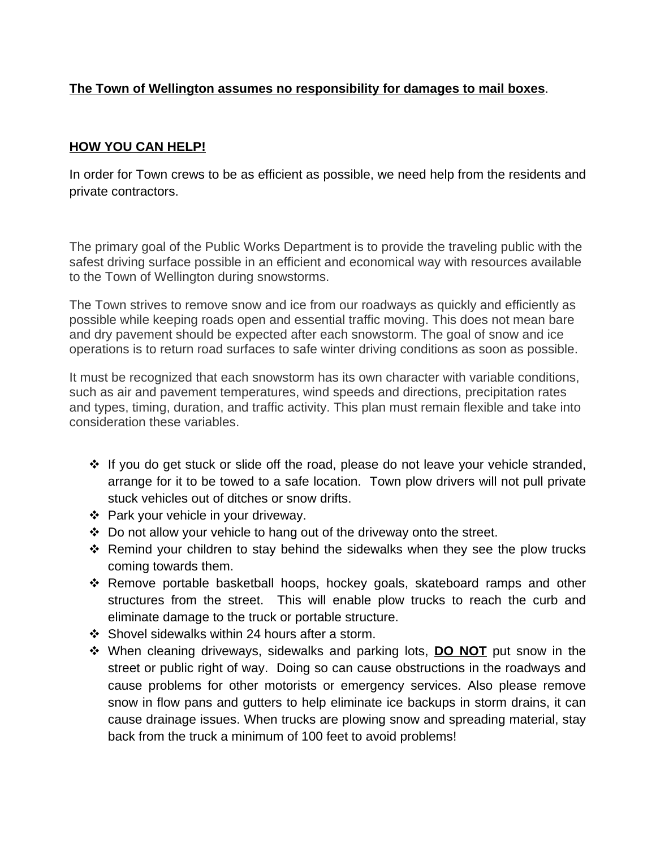## **The Town of Wellington assumes no responsibility for damages to mail boxes**.

#### **HOW YOU CAN HELP!**

In order for Town crews to be as efficient as possible, we need help from the residents and private contractors.

The primary goal of the Public Works Department is to provide the traveling public with the safest driving surface possible in an efficient and economical way with resources available to the Town of Wellington during snowstorms.

The Town strives to remove snow and ice from our roadways as quickly and efficiently as possible while keeping roads open and essential traffic moving. This does not mean bare and dry pavement should be expected after each snowstorm. The goal of snow and ice operations is to return road surfaces to safe winter driving conditions as soon as possible.

It must be recognized that each snowstorm has its own character with variable conditions, such as air and pavement temperatures, wind speeds and directions, precipitation rates and types, timing, duration, and traffic activity. This plan must remain flexible and take into consideration these variables.

- If you do get stuck or slide off the road, please do not leave your vehicle stranded, arrange for it to be towed to a safe location. Town plow drivers will not pull private stuck vehicles out of ditches or snow drifts.
- ❖ Park your vehicle in your driveway.
- Do not allow your vehicle to hang out of the driveway onto the street.
- Remind your children to stay behind the sidewalks when they see the plow trucks coming towards them.
- \* Remove portable basketball hoops, hockey goals, skateboard ramps and other structures from the street. This will enable plow trucks to reach the curb and eliminate damage to the truck or portable structure.
- ❖ Shovel sidewalks within 24 hours after a storm.
- When cleaning driveways, sidewalks and parking lots, **DO NOT** put snow in the street or public right of way. Doing so can cause obstructions in the roadways and cause problems for other motorists or emergency services. Also please remove snow in flow pans and gutters to help eliminate ice backups in storm drains, it can cause drainage issues. When trucks are plowing snow and spreading material, stay back from the truck a minimum of 100 feet to avoid problems!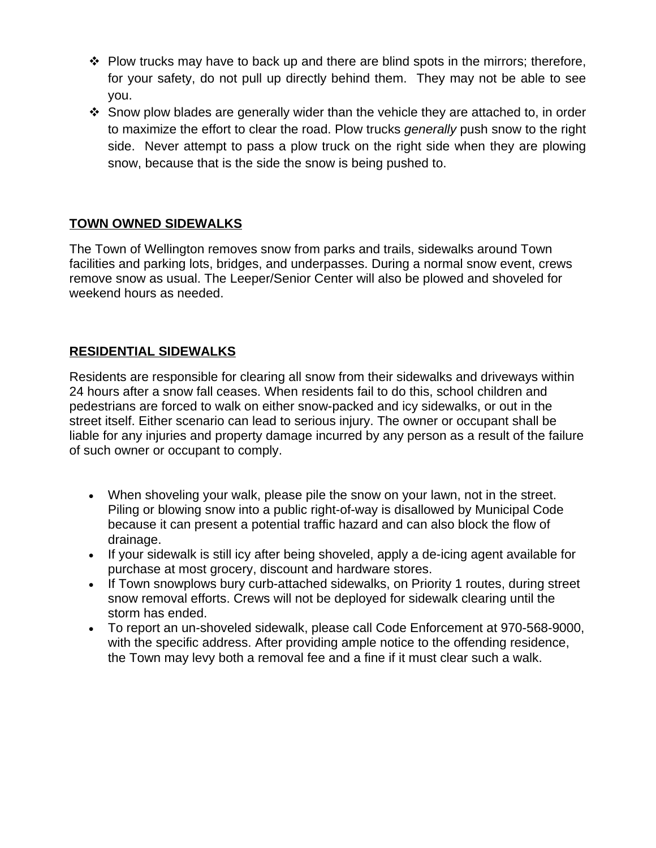- $\div$  Plow trucks may have to back up and there are blind spots in the mirrors; therefore, for your safety, do not pull up directly behind them. They may not be able to see you.
- $\div$  Snow plow blades are generally wider than the vehicle they are attached to, in order to maximize the effort to clear the road. Plow trucks *generally* push snow to the right side. Never attempt to pass a plow truck on the right side when they are plowing snow, because that is the side the snow is being pushed to.

# **TOWN OWNED SIDEWALKS**

The Town of Wellington removes snow from parks and trails, sidewalks around Town facilities and parking lots, bridges, and underpasses. During a normal snow event, crews remove snow as usual. The Leeper/Senior Center will also be plowed and shoveled for weekend hours as needed.

# **RESIDENTIAL SIDEWALKS**

Residents are responsible for clearing all snow from their sidewalks and driveways within 24 hours after a snow fall ceases. When residents fail to do this, school children and pedestrians are forced to walk on either snow-packed and icy sidewalks, or out in the street itself. Either scenario can lead to serious injury. The owner or occupant shall be liable for any injuries and property damage incurred by any person as a result of the failure of such owner or occupant to comply.

- When shoveling your walk, please pile the snow on your lawn, not in the street. Piling or blowing snow into a public right-of-way is disallowed by Municipal Code because it can present a potential traffic hazard and can also block the flow of drainage.
- If your sidewalk is still icy after being shoveled, apply a de-icing agent available for purchase at most grocery, discount and hardware stores.
- If Town snowplows bury curb-attached sidewalks, on Priority 1 routes, during street snow removal efforts. Crews will not be deployed for sidewalk clearing until the storm has ended.
- To report an un-shoveled sidewalk, please call Code Enforcement at 970-568-9000, with the specific address. After providing ample notice to the offending residence, the Town may levy both a removal fee and a fine if it must clear such a walk.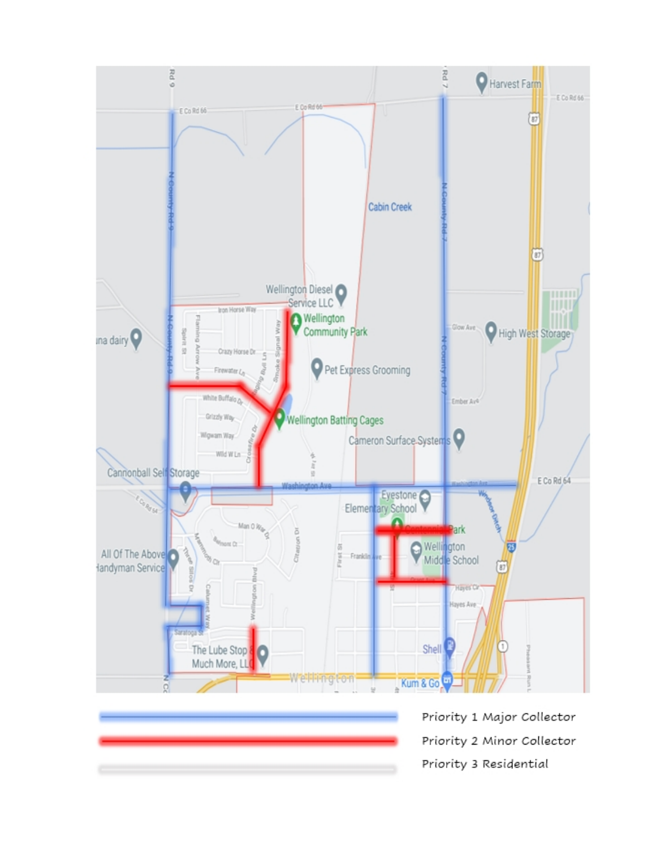

| Prio |
|------|
| Pric |
| Prio |

ority 1 Major Collector ority 2 Minor Collector ority 3 Residential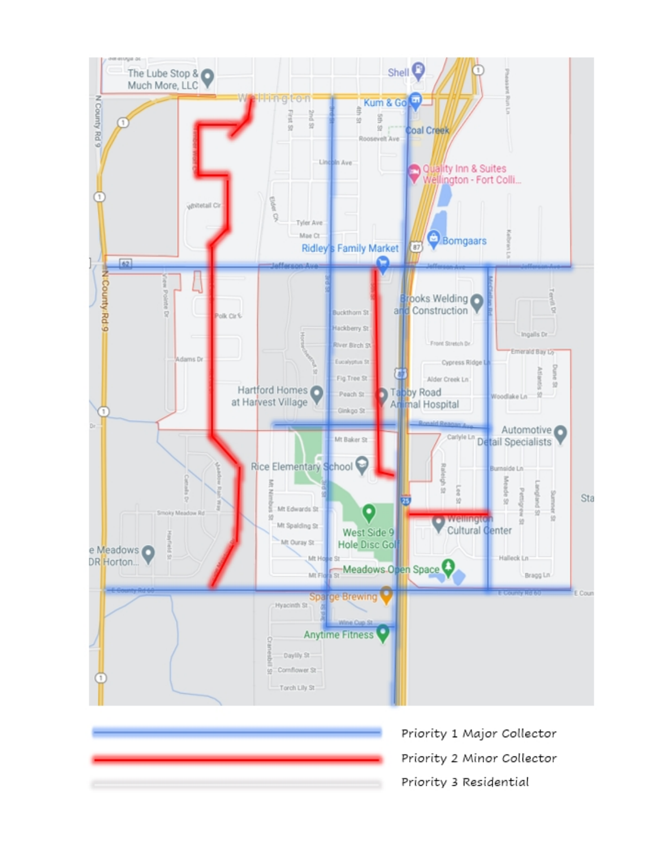

| Priority 1 Major Collector |
|----------------------------|
| Priority 2 Minor Collector |
| Priority 3 Residential     |